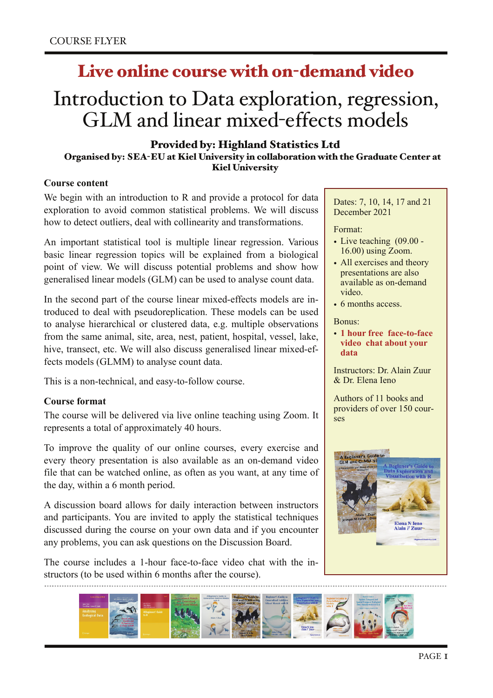# Live online course with on-demand video

# Introduction to Data exploration, regression, GLM and linear mixed-effects models

# Provided by: Highland Statistics Ltd

#### Organised by: SEA-EU at Kiel University in collaboration with the Graduate Center at Kiel University

#### **Course content**

We begin with an introduction to R and provide a protocol for data exploration to avoid common statistical problems. We will discuss how to detect outliers, deal with collinearity and transformations.

An important statistical tool is multiple linear regression. Various basic linear regression topics will be explained from a biological point of view. We will discuss potential problems and show how generalised linear models (GLM) can be used to analyse count data.

In the second part of the course linear mixed-effects models are introduced to deal with pseudoreplication. These models can be used to analyse hierarchical or clustered data, e.g. multiple observations from the same animal, site, area, nest, patient, hospital, vessel, lake, hive, transect, etc. We will also discuss generalised linear mixed-effects models (GLMM) to analyse count data.

This is a non-technical, and easy-to-follow course.

#### **Course format**

The course will be delivered via live online teaching using Zoom. It represents a total of approximately 40 hours.

To improve the quality of our online courses, every exercise and every theory presentation is also available as an on-demand video file that can be watched online, as often as you want, at any time of the day, within a 6 month period.

A discussion board allows for daily interaction between instructors and participants. You are invited to apply the statistical techniques discussed during the course on your own data and if you encounter any problems, you can ask questions on the Discussion Board.

The course includes a 1-hour face-to-face video chat with the instructors (to be used within 6 months after the course).

Dates: 7, 10, 14, 17 and 21 December 2021

Format:

- Live teaching (09.00 -16.00) using Zoom.
- All exercises and theory presentations are also available as on-demand video.
- 6 months access.

Bonus:

• **1 hour free face-to-face video chat about your data**

Instructors: Dr. Alain Zuur & Dr. Elena Ieno

Authors of 11 books and providers of over 150 courses



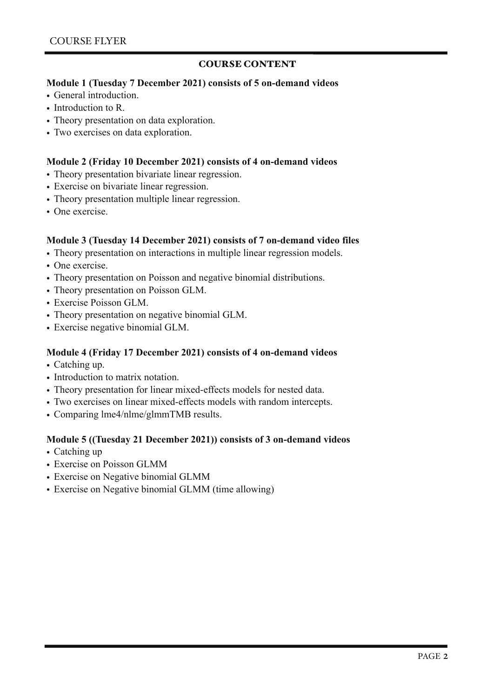#### COURSE CONTENT

#### **Module 1 (Tuesday 7 December 2021) consists of 5 on-demand videos**

- General introduction.
- Introduction to R.
- Theory presentation on data exploration.
- Two exercises on data exploration.

#### **Module 2 (Friday 10 December 2021) consists of 4 on-demand videos**

- Theory presentation bivariate linear regression.
- Exercise on bivariate linear regression.
- Theory presentation multiple linear regression.
- One exercise

# **Module 3 (Tuesday 14 December 2021) consists of 7 on-demand video files**

- Theory presentation on interactions in multiple linear regression models.
- One exercise.
- Theory presentation on Poisson and negative binomial distributions.
- Theory presentation on Poisson GLM.
- Exercise Poisson GLM.
- Theory presentation on negative binomial GLM.
- Exercise negative binomial GLM.

#### **Module 4 (Friday 17 December 2021) consists of 4 on-demand videos**

- Catching up.
- Introduction to matrix notation.
- Theory presentation for linear mixed-effects models for nested data.
- Two exercises on linear mixed-effects models with random intercepts.
- Comparing lme4/nlme/glmmTMB results.

#### **Module 5 ((Tuesday 21 December 2021)) consists of 3 on-demand videos**

- Catching up
- Exercise on Poisson GLMM
- Exercise on Negative binomial GLMM
- Exercise on Negative binomial GLMM (time allowing)